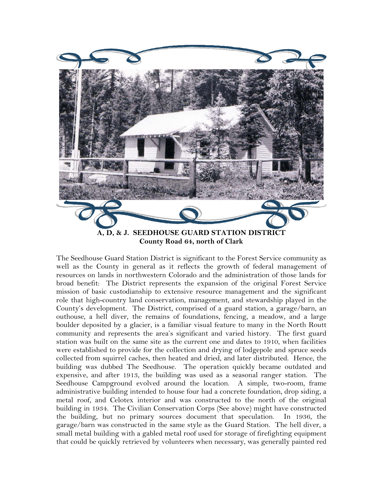

The Seedhouse Guard Station District is significant to the Forest Service community as well as the County in general as it reflects the growth of federal management of resources on lands in northwestern Colorado and the administration of those lands for broad benefit: The District represents the expansion of the original Forest Service mission of basic custodianship to extensive resource management and the significant role that high-country land conservation, management, and stewardship played in the County's development. The District, comprised of a guard station, a garage/barn, an outhouse, a hell diver, the remains of foundations, fencing, a meadow, and a large boulder deposited by a glacier, is a familiar visual feature to many in the North Routt community and represents the area's significant and varied history. The first guard station was built on the same site as the current one and dates to 1910, when facilities were established to provide for the collection and drying of lodgepole and spruce seeds collected from squirrel caches, then heated and dried, and later distributed. Hence, the building was dubbed The Seedhouse. The operation quickly became outdated and expensive, and after 1913, the building was used as a seasonal ranger station. The Seedhouse Campground evolved around the location. A simple, two-room, frame administrative building intended to house four had a concrete foundation, drop siding, a metal roof, and Celotex interior and was constructed to the north of the original building in 1934. The Civilian Conservation Corps (See above) might have constructed the building, but no primary sources document that speculation. In 1936, the garage/barn was constructed in the same style as the Guard Station. The hell diver, a small metal building with a gabled metal roof used for storage of firefighting equipment that could be quickly retrieved by volunteers when necessary, was generally painted red